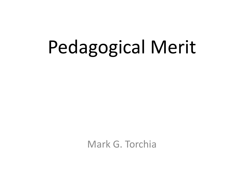# Pedagogical Merit

Mark G. Torchia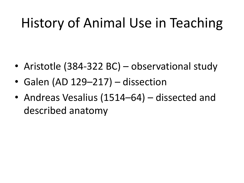# History of Animal Use in Teaching

- Aristotle (384-322 BC) observational study
- Galen (AD 129–217) dissection
- Andreas Vesalius (1514–64) dissected and described anatomy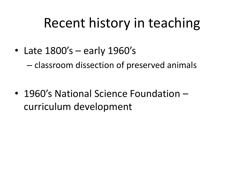## Recent history in teaching

• Late 1800's – early 1960's

– classroom dissection of preserved animals

• 1960's National Science Foundation – curriculum development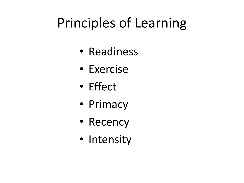# Principles of Learning

- Readiness
- Exercise
- Effect
- Primacy
- Recency
- Intensity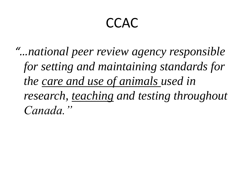#### **CCAC**

*"…national peer review agency responsible for setting and maintaining standards for the care and use of animals used in research, teaching and testing throughout Canada."*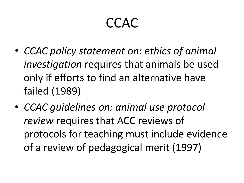#### CCAC

- *CCAC policy statement on: ethics of animal investigation* requires that animals be used only if efforts to find an alternative have failed (1989)
- *CCAC guidelines on: animal use protocol review* requires that ACC reviews of protocols for teaching must include evidence of a review of pedagogical merit (1997)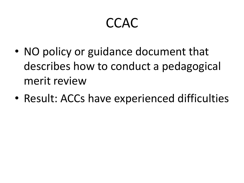#### CCAC

- NO policy or guidance document that describes how to conduct a pedagogical merit review
- Result: ACCs have experienced difficulties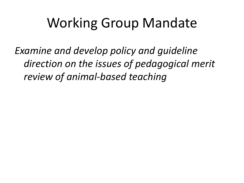## Working Group Mandate

*Examine and develop policy and guideline direction on the issues of pedagogical merit review of animal-based teaching*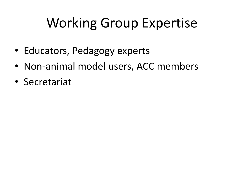# Working Group Expertise

- Educators, Pedagogy experts
- Non-animal model users, ACC members
- Secretariat